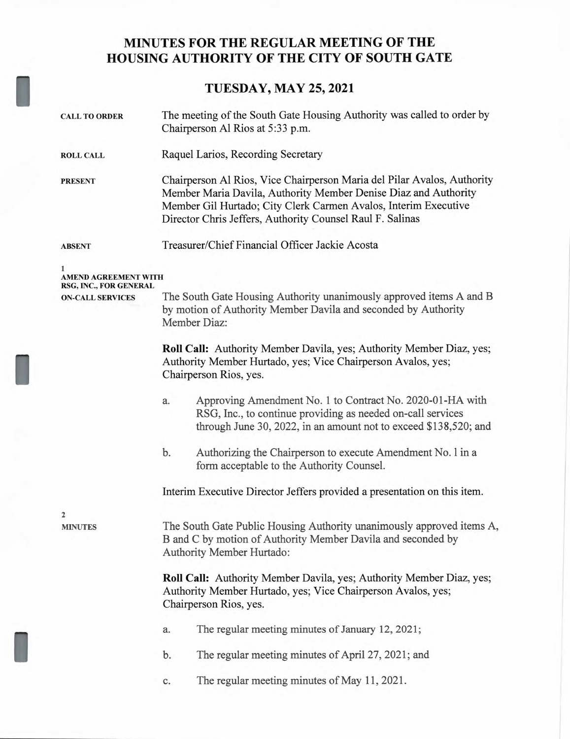## **MINUTES FOR THE REGULAR MEETING OF THE HOUSING AUTHORITY OF THE CITY OF SOUTH GATE**

## **TUESDAY, MAY 25, 2021**

| <b>CALL TO ORDER</b>                              | The meeting of the South Gate Housing Authority was called to order by<br>Chairperson Al Rios at 5:33 p.m.                                                                                                                                                                 |
|---------------------------------------------------|----------------------------------------------------------------------------------------------------------------------------------------------------------------------------------------------------------------------------------------------------------------------------|
| <b>ROLL CALL</b>                                  | Raquel Larios, Recording Secretary                                                                                                                                                                                                                                         |
| <b>PRESENT</b>                                    | Chairperson Al Rios, Vice Chairperson Maria del Pilar Avalos, Authority<br>Member Maria Davila, Authority Member Denise Diaz and Authority<br>Member Gil Hurtado; City Clerk Carmen Avalos, Interim Executive<br>Director Chris Jeffers, Authority Counsel Raul F. Salinas |
| <b>ABSENT</b>                                     | Treasurer/Chief Financial Officer Jackie Acosta                                                                                                                                                                                                                            |
| 1<br><b>AMEND AGREEMENT WITH</b>                  |                                                                                                                                                                                                                                                                            |
| RSG, INC., FOR GENERAL<br><b>ON-CALL SERVICES</b> | The South Gate Housing Authority unanimously approved items A and B<br>by motion of Authority Member Davila and seconded by Authority<br>Member Diaz:                                                                                                                      |
|                                                   | Roll Call: Authority Member Davila, yes; Authority Member Diaz, yes;<br>Authority Member Hurtado, yes; Vice Chairperson Avalos, yes;<br>Chairperson Rios, yes.                                                                                                             |
|                                                   | Approving Amendment No. 1 to Contract No. 2020-01-HA with<br>a.<br>RSG, Inc., to continue providing as needed on-call services<br>through June 30, 2022, in an amount not to exceed \$138,520; and                                                                         |
|                                                   | b.<br>Authorizing the Chairperson to execute Amendment No. 1 in a<br>form acceptable to the Authority Counsel.                                                                                                                                                             |
|                                                   | Interim Executive Director Jeffers provided a presentation on this item.                                                                                                                                                                                                   |
| 2<br><b>MINUTES</b>                               | The South Gate Public Housing Authority unanimously approved items A,<br>B and C by motion of Authority Member Davila and seconded by<br>Authority Member Hurtado:                                                                                                         |
|                                                   | Roll Call: Authority Member Davila, yes; Authority Member Diaz, yes;<br>Authority Member Hurtado, yes; Vice Chairperson Avalos, yes;<br>Chairperson Rios, yes.                                                                                                             |
|                                                   | The regular meeting minutes of January 12, 2021;<br>a.                                                                                                                                                                                                                     |
|                                                   | The regular meeting minutes of April 27, 2021; and<br>$\mathbf b$ .                                                                                                                                                                                                        |
|                                                   | The regular meeting minutes of May 11, 2021.<br>c.                                                                                                                                                                                                                         |
|                                                   |                                                                                                                                                                                                                                                                            |